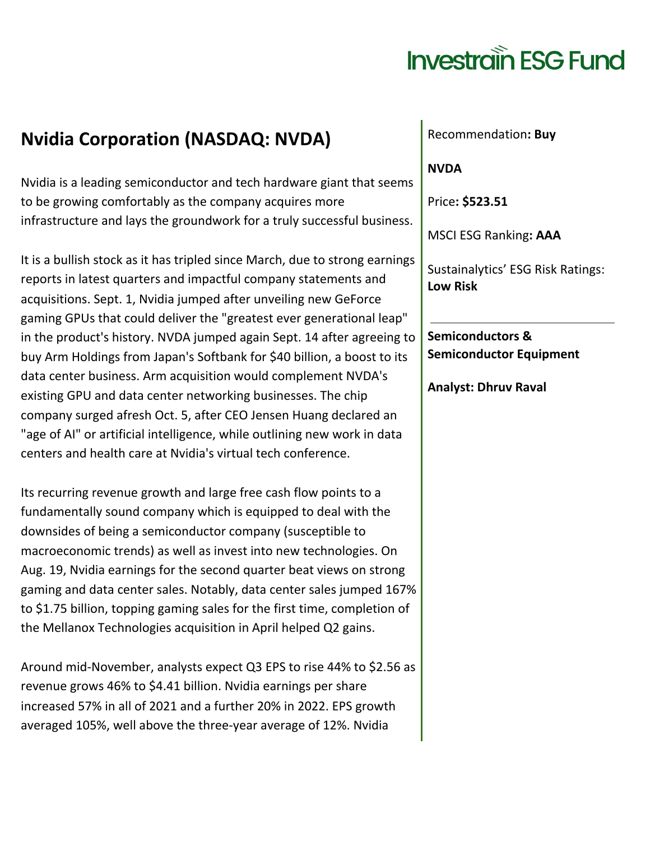## **Investrain ESG Fund**

## **Nvidia Corporation (NASDAQ: NVDA)**

Nvidia is a leading semiconductor and tech hardware giant that seems to be growing comfortably as the company acquires more infrastructure and lays the groundwork for a truly successful business.

It is a bullish stock as it has tripled since March, due to strong earnings reports in latest quarters and impactful company statements and acquisitions. Sept. 1, Nvidia jumped after unveiling new GeForce gaming GPUs that could deliver the "greatest ever generational leap" in the product's history. NVDA jumped again Sept. 14 after agreeing to buy Arm Holdings from Japan's Softbank for \$40 billion, a boost to its data center business. Arm acquisition would complement NVDA's existing GPU and data center networking businesses. The chip company surged afresh Oct. 5, after CEO Jensen Huang declared an "age of AI" or artificial intelligence, while outlining new work in data centers and health care at Nvidia's virtual tech conference.

Its recurring revenue growth and large free cash flow points to a fundamentally sound company which is equipped to deal with the downsides of being a semiconductor company (susceptible to macroeconomic trends) as well as invest into new technologies. On Aug. 19, Nvidia earnings for the second quarter beat views on strong gaming and data center sales. Notably, data center sales jumped 167% to \$1.75 billion, topping gaming sales for the first time, completion of the Mellanox Technologies acquisition in April helped Q2 gains.

Around mid-November, analysts expect Q3 EPS to rise 44% to \$2.56 as revenue grows 46% to \$4.41 billion. Nvidia earnings per share increased 57% in all of 2021 and a further 20% in 2022. EPS growth averaged 105%, well above the three-year average of 12%. Nvidia

Recommendation**: Buy**

**NVDA**

Price**: \$523.51**

MSCI ESG Ranking**: AAA**

Sustainalytics' ESG Risk Ratings: **Low Risk**

**Semiconductors & Semiconductor Equipment**

**Analyst: Dhruv Raval**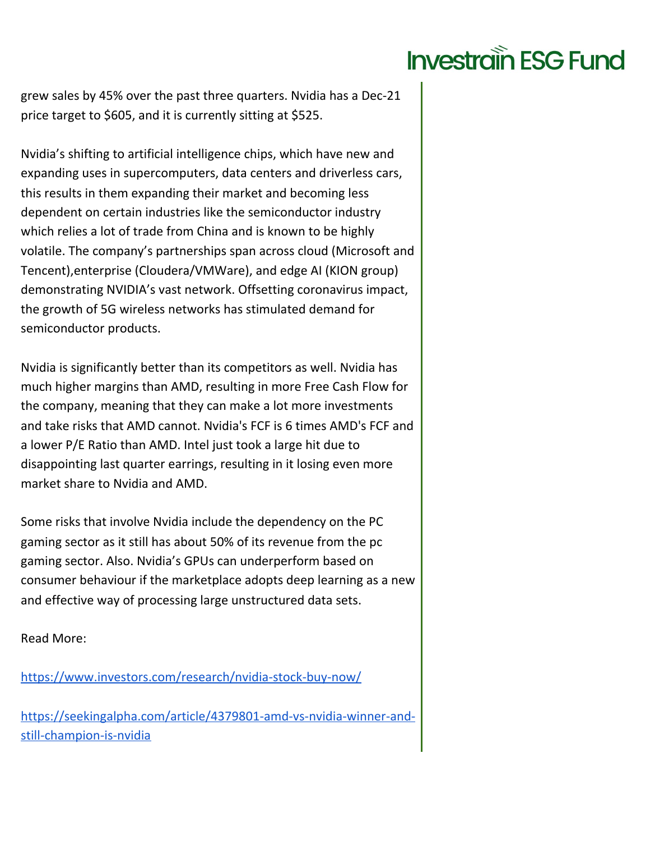## **Investrain ESG Fund**

grew sales by 45% over the past three quarters. Nvidia has a Dec-21 price target to \$605, and it is currently sitting at \$525.

Nvidia's shifting to artificial intelligence chips, which have new and expanding uses in supercomputers, data centers and driverless cars, this results in them expanding their market and becoming less dependent on certain industries like the semiconductor industry which relies a lot of trade from China and is known to be highly volatile. The company's partnerships span across cloud (Microsoft and Tencent),enterprise (Cloudera/VMWare), and edge AI (KION group) demonstrating NVIDIA's vast network. Offsetting coronavirus impact, the growth of 5G wireless networks has stimulated demand for semiconductor products.

Nvidia is significantly better than its competitors as well. Nvidia has much higher margins than AMD, resulting in more Free Cash Flow for the company, meaning that they can make a lot more investments and take risks that AMD cannot. Nvidia's FCF is 6 times AMD's FCF and a lower P/E Ratio than AMD. Intel just took a large hit due to disappointing last quarter earrings, resulting in it losing even more market share to Nvidia and AMD.

Some risks that involve Nvidia include the dependency on the PC gaming sector as it still has about 50% of its revenue from the pc gaming sector. Also. Nvidia's GPUs can underperform based on consumer behaviour if the marketplace adopts deep learning as a new and effective way of processing large unstructured data sets.

Read More:

<https://www.investors.com/research/nvidia-stock-buy-now/>

[https://seekingalpha.com/article/4379801-amd-vs-nvidia-winner-and](https://seekingalpha.com/article/4379801-amd-vs-nvidia-winner-and-still-champion-is-nvidia)[still-champion-is-nvidia](https://seekingalpha.com/article/4379801-amd-vs-nvidia-winner-and-still-champion-is-nvidia)